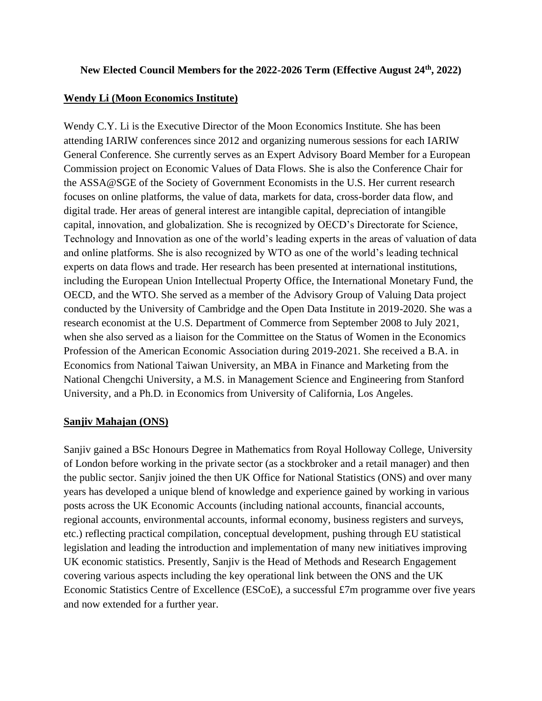# **New Elected Council Members for the 2022-2026 Term (Effective August 24th, 2022)**

## **Wendy Li (Moon Economics Institute)**

Wendy C.Y. Li is the Executive Director of the Moon Economics Institute. She has been attending IARIW conferences since 2012 and organizing numerous sessions for each IARIW General Conference. She currently serves as an Expert Advisory Board Member for a European Commission project on Economic Values of Data Flows. She is also the Conference Chair for the ASSA@SGE of the Society of Government Economists in the U.S. Her current research focuses on online platforms, the value of data, markets for data, cross-border data flow, and digital trade. Her areas of general interest are intangible capital, depreciation of intangible capital, innovation, and globalization. She is recognized by OECD's Directorate for Science, Technology and Innovation as one of the world's leading experts in the areas of valuation of data and online platforms. She is also recognized by WTO as one of the world's leading technical experts on data flows and trade. Her research has been presented at international institutions, including the European Union Intellectual Property Office, the International Monetary Fund, the OECD, and the WTO. She served as a member of the Advisory Group of Valuing Data project conducted by the University of Cambridge and the Open Data Institute in 2019-2020. She was a research economist at the U.S. Department of Commerce from September 2008 to July 2021, when she also served as a liaison for the Committee on the Status of Women in the Economics Profession of the American Economic Association during 2019-2021. She received a B.A. in Economics from National Taiwan University, an MBA in Finance and Marketing from the National Chengchi University, a M.S. in Management Science and Engineering from Stanford University, and a Ph.D. in Economics from University of California, Los Angeles.

### **Sanjiv Mahajan (ONS)**

Sanjiv gained a BSc Honours Degree in Mathematics from Royal Holloway College, University of London before working in the private sector (as a stockbroker and a retail manager) and then the public sector. Sanjiv joined the then UK Office for National Statistics (ONS) and over many years has developed a unique blend of knowledge and experience gained by working in various posts across the UK Economic Accounts (including national accounts, financial accounts, regional accounts, environmental accounts, informal economy, business registers and surveys, etc.) reflecting practical compilation, conceptual development, pushing through EU statistical legislation and leading the introduction and implementation of many new initiatives improving UK economic statistics. Presently, Sanjiv is the Head of Methods and Research Engagement covering various aspects including the key operational link between the ONS and the UK Economic Statistics Centre of Excellence (ESCoE), a successful £7m programme over five years and now extended for a further year.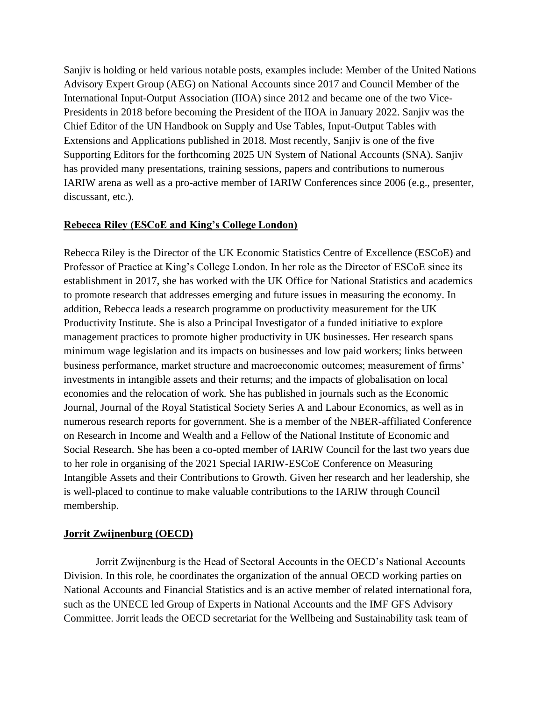Sanjiv is holding or held various notable posts, examples include: Member of the United Nations Advisory Expert Group (AEG) on National Accounts since 2017 and Council Member of the International Input-Output Association (IIOA) since 2012 and became one of the two Vice-Presidents in 2018 before becoming the President of the IIOA in January 2022. Sanjiv was the Chief Editor of the UN Handbook on Supply and Use Tables, Input-Output Tables with Extensions and Applications published in 2018. Most recently, Sanjiv is one of the five Supporting Editors for the forthcoming 2025 UN System of National Accounts (SNA). Sanjiv has provided many presentations, training sessions, papers and contributions to numerous IARIW arena as well as a pro-active member of IARIW Conferences since 2006 (e.g., presenter, discussant, etc.).

#### **Rebecca Riley (ESCoE and King's College London)**

Rebecca Riley is the Director of the UK Economic Statistics Centre of Excellence (ESCoE) and Professor of Practice at King's College London. In her role as the Director of ESCoE since its establishment in 2017, she has worked with the UK Office for National Statistics and academics to promote research that addresses emerging and future issues in measuring the economy. In addition, Rebecca leads a research programme on productivity measurement for the UK Productivity Institute. She is also a Principal Investigator of a funded initiative to explore management practices to promote higher productivity in UK businesses. Her research spans minimum wage legislation and its impacts on businesses and low paid workers; links between business performance, market structure and macroeconomic outcomes; measurement of firms' investments in intangible assets and their returns; and the impacts of globalisation on local economies and the relocation of work. She has published in journals such as the Economic Journal, Journal of the Royal Statistical Society Series A and Labour Economics, as well as in numerous research reports for government. She is a member of the NBER-affiliated Conference on Research in Income and Wealth and a Fellow of the National Institute of Economic and Social Research. She has been a co-opted member of IARIW Council for the last two years due to her role in organising of the 2021 Special IARIW-ESCoE Conference on Measuring Intangible Assets and their Contributions to Growth. Given her research and her leadership, she is well-placed to continue to make valuable contributions to the IARIW through Council membership.

### **Jorrit Zwijnenburg (OECD)**

Jorrit Zwijnenburg is the Head of Sectoral Accounts in the OECD's National Accounts Division. In this role, he coordinates the organization of the annual OECD working parties on National Accounts and Financial Statistics and is an active member of related international fora, such as the UNECE led Group of Experts in National Accounts and the IMF GFS Advisory Committee. Jorrit leads the OECD secretariat for the Wellbeing and Sustainability task team of